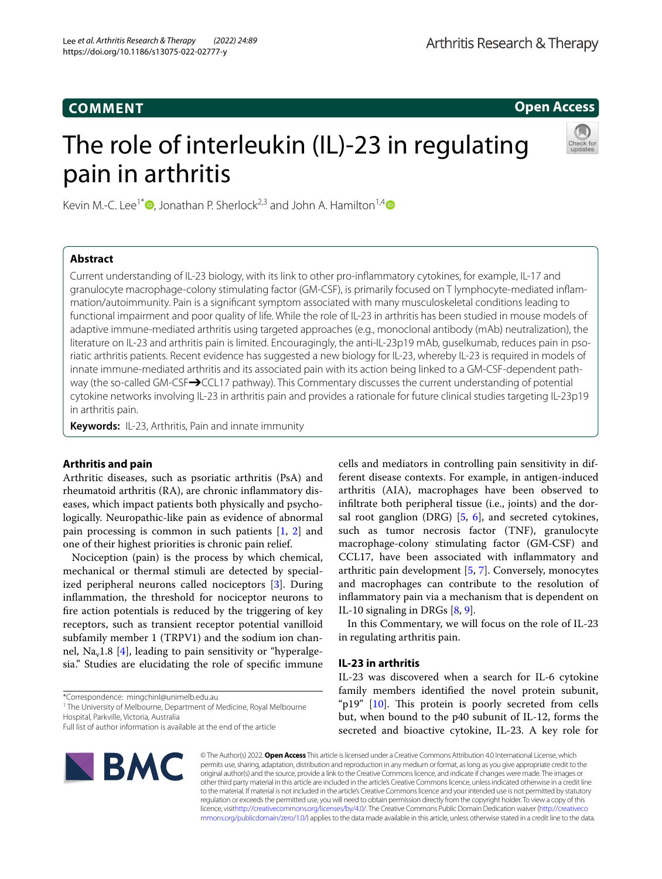# **COMMENT**

**Open Access**

# The role of interleukin (IL)-23 in regulating pain in arthritis



Kevin M.-C. Lee<sup>1\*</sup>  $\Phi$ [,](https://orcid.org/0000-0002-6609-3524) Jonathan P. Sherlock<sup>2,3</sup> and John A. Hamilton<sup>1,[4](https://orcid.org/0000-0002-9493-9224)</sup>  $\Phi$ 

## **Abstract**

Current understanding of IL-23 biology, with its link to other pro-infammatory cytokines, for example, IL-17 and granulocyte macrophage-colony stimulating factor (GM-CSF), is primarily focused on T lymphocyte-mediated infam‑ mation/autoimmunity. Pain is a signifcant symptom associated with many musculoskeletal conditions leading to functional impairment and poor quality of life. While the role of IL-23 in arthritis has been studied in mouse models of adaptive immune-mediated arthritis using targeted approaches (e.g., monoclonal antibody (mAb) neutralization), the literature on IL-23 and arthritis pain is limited. Encouragingly, the anti-IL-23p19 mAb, guselkumab, reduces pain in psoriatic arthritis patients. Recent evidence has suggested a new biology for IL-23, whereby IL-23 is required in models of innate immune-mediated arthritis and its associated pain with its action being linked to a GM-CSF-dependent pathway (the so-called GM-CSF→CCL17 pathway). This Commentary discusses the current understanding of potential cytokine networks involving IL-23 in arthritis pain and provides a rationale for future clinical studies targeting IL-23p19 in arthritis pain.

**Keywords:** IL-23, Arthritis, Pain and innate immunity

## **Arthritis and pain**

Arthritic diseases, such as psoriatic arthritis (PsA) and rheumatoid arthritis (RA), are chronic infammatory diseases, which impact patients both physically and psychologically. Neuropathic-like pain as evidence of abnormal pain processing is common in such patients [\[1,](#page-2-0) [2](#page-2-1)] and one of their highest priorities is chronic pain relief.

Nociception (pain) is the process by which chemical, mechanical or thermal stimuli are detected by specialized peripheral neurons called nociceptors [\[3](#page-2-2)]. During infammation, the threshold for nociceptor neurons to fre action potentials is reduced by the triggering of key receptors, such as transient receptor potential vanilloid subfamily member 1 (TRPV1) and the sodium ion chan-nel, Na<sub>v</sub>1.8 [\[4\]](#page-2-3), leading to pain sensitivity or "hyperalgesia." Studies are elucidating the role of specifc immune

\*Correspondence: mingchinl@unimelb.edu.au

<sup>1</sup> The University of Melbourne, Department of Medicine, Royal Melbourne Hospital, Parkville, Victoria, Australia

Full list of author information is available at the end of the article



cells and mediators in controlling pain sensitivity in different disease contexts. For example, in antigen-induced arthritis (AIA), macrophages have been observed to infltrate both peripheral tissue (i.e., joints) and the dorsal root ganglion (DRG)  $[5, 6]$  $[5, 6]$  $[5, 6]$  $[5, 6]$ , and secreted cytokines, such as tumor necrosis factor (TNF), granulocyte macrophage-colony stimulating factor (GM-CSF) and CCL17, have been associated with infammatory and arthritic pain development [[5,](#page-2-4) [7\]](#page-3-1). Conversely, monocytes and macrophages can contribute to the resolution of infammatory pain via a mechanism that is dependent on IL-10 signaling in DRGs [\[8](#page-3-2), [9\]](#page-3-3).

In this Commentary, we will focus on the role of IL-23 in regulating arthritis pain.

## **IL‑23 in arthritis**

IL-23 was discovered when a search for IL-6 cytokine family members identifed the novel protein subunit, "p19"  $[10]$  $[10]$ . This protein is poorly secreted from cells but, when bound to the p40 subunit of IL-12, forms the secreted and bioactive cytokine, IL-23. A key role for

© The Author(s) 2022. **Open Access** This article is licensed under a Creative Commons Attribution 4.0 International License, which permits use, sharing, adaptation, distribution and reproduction in any medium or format, as long as you give appropriate credit to the original author(s) and the source, provide a link to the Creative Commons licence, and indicate if changes were made. The images or other third party material in this article are included in the article's Creative Commons licence, unless indicated otherwise in a credit line to the material. If material is not included in the article's Creative Commons licence and your intended use is not permitted by statutory regulation or exceeds the permitted use, you will need to obtain permission directly from the copyright holder. To view a copy of this licence, visi[thttp://creativecommons.org/licenses/by/4.0/](http://creativecommons.org/licenses/by/4.0/). The Creative Commons Public Domain Dedication waiver [\(http://creativeco](http://creativecommons.org/publicdomain/zero/1.0/) [mmons.org/publicdomain/zero/1.0/](http://creativecommons.org/publicdomain/zero/1.0/)) applies to the data made available in this article, unless otherwise stated in a credit line to the data.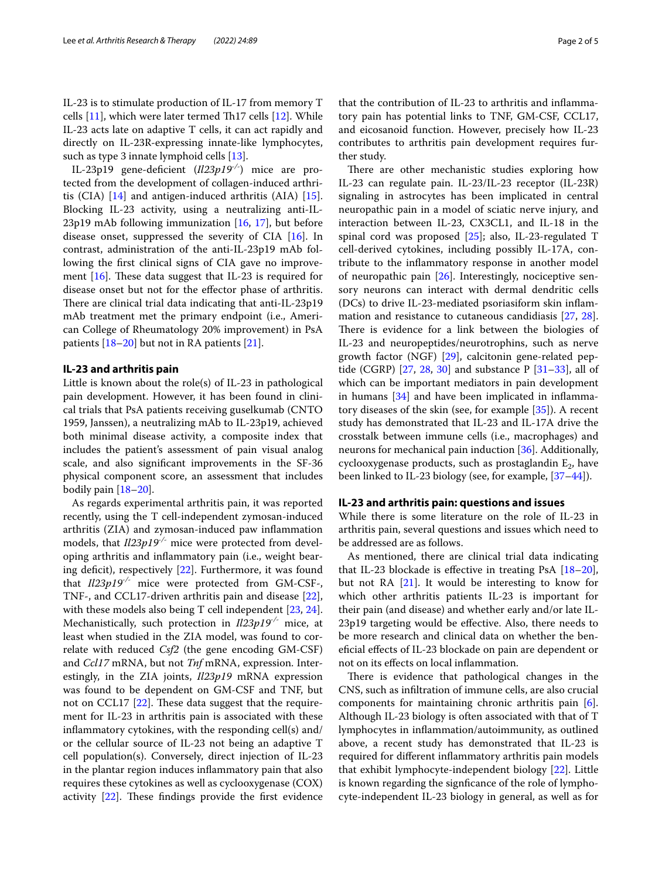IL-23 is to stimulate production of IL-17 from memory T cells  $[11]$  $[11]$ , which were later termed Th17 cells  $[12]$  $[12]$  $[12]$ . While IL-23 acts late on adaptive T cells, it can act rapidly and directly on IL-23R-expressing innate-like lymphocytes, such as type 3 innate lymphoid cells [\[13](#page-3-7)].

IL-23p19 gene-defcient (*Il23p19-/-*) mice are protected from the development of collagen-induced arthritis (CIA) [[14\]](#page-3-8) and antigen-induced arthritis (AIA) [\[15](#page-3-9)]. Blocking IL-23 activity, using a neutralizing anti-IL-23p19 mAb following immunization [[16,](#page-3-10) [17](#page-3-11)], but before disease onset, suppressed the severity of CIA [[16\]](#page-3-10). In contrast, administration of the anti-IL-23p19 mAb following the frst clinical signs of CIA gave no improvement  $[16]$  $[16]$  $[16]$ . These data suggest that IL-23 is required for disease onset but not for the efector phase of arthritis. There are clinical trial data indicating that anti-IL-23p19 mAb treatment met the primary endpoint (i.e., American College of Rheumatology 20% improvement) in PsA patients [[18–](#page-3-12)[20](#page-3-13)] but not in RA patients [\[21](#page-3-14)].

## **IL‑23 and arthritis pain**

Little is known about the role(s) of IL-23 in pathological pain development. However, it has been found in clinical trials that PsA patients receiving guselkumab (CNTO 1959, Janssen), a neutralizing mAb to IL-23p19, achieved both minimal disease activity, a composite index that includes the patient's assessment of pain visual analog scale, and also signifcant improvements in the SF-36 physical component score, an assessment that includes bodily pain [[18–](#page-3-12)[20](#page-3-13)].

As regards experimental arthritis pain, it was reported recently, using the T cell-independent zymosan-induced arthritis (ZIA) and zymosan-induced paw infammation models, that *Il23p19-/-* mice were protected from developing arthritis and infammatory pain (i.e., weight bear-ing deficit), respectively [[22\]](#page-3-15). Furthermore, it was found that *Il23p19-/-* mice were protected from GM-CSF-, TNF-, and CCL17-driven arthritis pain and disease [\[22](#page-3-15)], with these models also being T cell independent [[23](#page-3-16), [24](#page-3-17)]. Mechanistically, such protection in *Il23p19-/-* mice, at least when studied in the ZIA model, was found to correlate with reduced *Csf2* (the gene encoding GM-CSF) and *Ccl17* mRNA, but not *Tnf* mRNA, expression. Interestingly, in the ZIA joints, *Il23p19* mRNA expression was found to be dependent on GM-CSF and TNF, but not on CCL17  $[22]$  $[22]$ . These data suggest that the requirement for IL-23 in arthritis pain is associated with these infammatory cytokines, with the responding cell(s) and/ or the cellular source of IL-23 not being an adaptive T cell population(s). Conversely, direct injection of IL-23 in the plantar region induces infammatory pain that also requires these cytokines as well as cyclooxygenase (COX) activity  $[22]$  $[22]$ . These findings provide the first evidence that the contribution of IL-23 to arthritis and infammatory pain has potential links to TNF, GM-CSF, CCL17, and eicosanoid function. However, precisely how IL-23 contributes to arthritis pain development requires further study.

There are other mechanistic studies exploring how IL-23 can regulate pain. IL-23/IL-23 receptor (IL-23R) signaling in astrocytes has been implicated in central neuropathic pain in a model of sciatic nerve injury, and interaction between IL-23, CX3CL1, and IL-18 in the spinal cord was proposed [\[25](#page-3-18)]; also, IL-23-regulated T cell-derived cytokines, including possibly IL-17A, contribute to the infammatory response in another model of neuropathic pain [[26](#page-3-19)]. Interestingly, nociceptive sensory neurons can interact with dermal dendritic cells (DCs) to drive IL-23-mediated psoriasiform skin infammation and resistance to cutaneous candidiasis [[27,](#page-3-20) [28](#page-3-21)]. There is evidence for a link between the biologies of IL-23 and neuropeptides/neurotrophins, such as nerve growth factor (NGF) [[29](#page-3-22)], calcitonin gene-related peptide (CGRP) [\[27](#page-3-20), [28](#page-3-21), [30\]](#page-3-23) and substance P [\[31](#page-3-24)[–33\]](#page-3-25), all of which can be important mediators in pain development in humans  $[34]$  $[34]$  and have been implicated in inflammatory diseases of the skin (see, for example [[35\]](#page-3-27)). A recent study has demonstrated that IL-23 and IL-17A drive the crosstalk between immune cells (i.e., macrophages) and neurons for mechanical pain induction [[36\]](#page-3-28). Additionally, cyclooxygenase products, such as prostaglandin  $E_2$ , have been linked to IL-23 biology (see, for example, [[37](#page-3-29)[–44](#page-3-30)]).

### **IL‑23 and arthritis pain: questions and issues**

While there is some literature on the role of IL-23 in arthritis pain, several questions and issues which need to be addressed are as follows.

As mentioned, there are clinical trial data indicating that IL-23 blockade is effective in treating PsA  $[18-20]$  $[18-20]$  $[18-20]$ , but not RA [[21\]](#page-3-14). It would be interesting to know for which other arthritis patients IL-23 is important for their pain (and disease) and whether early and/or late IL-23p19 targeting would be efective. Also, there needs to be more research and clinical data on whether the benefcial efects of IL-23 blockade on pain are dependent or not on its efects on local infammation.

There is evidence that pathological changes in the CNS, such as infltration of immune cells, are also crucial components for maintaining chronic arthritis pain [\[6](#page-3-0)]. Although IL-23 biology is often associated with that of T lymphocytes in infammation/autoimmunity, as outlined above, a recent study has demonstrated that IL-23 is required for diferent infammatory arthritis pain models that exhibit lymphocyte-independent biology [[22](#page-3-15)]. Little is known regarding the signfcance of the role of lymphocyte-independent IL-23 biology in general, as well as for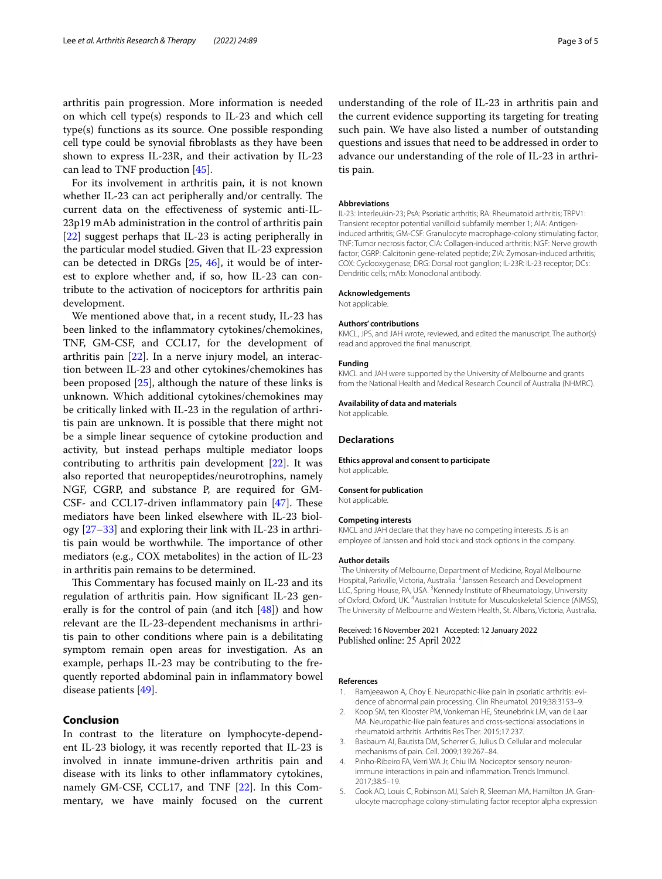arthritis pain progression. More information is needed on which cell type(s) responds to IL-23 and which cell type(s) functions as its source. One possible responding cell type could be synovial fbroblasts as they have been shown to express IL-23R, and their activation by IL-23 can lead to TNF production [\[45](#page-4-0)].

For its involvement in arthritis pain, it is not known whether IL-23 can act peripherally and/or centrally. The current data on the efectiveness of systemic anti-IL-23p19 mAb administration in the control of arthritis pain [[22\]](#page-3-15) suggest perhaps that IL-23 is acting peripherally in the particular model studied. Given that IL-23 expression can be detected in DRGs [[25,](#page-3-18) [46](#page-4-1)], it would be of interest to explore whether and, if so, how IL-23 can contribute to the activation of nociceptors for arthritis pain development.

We mentioned above that, in a recent study, IL-23 has been linked to the infammatory cytokines/chemokines, TNF, GM-CSF, and CCL17, for the development of arthritis pain [\[22](#page-3-15)]. In a nerve injury model, an interaction between IL-23 and other cytokines/chemokines has been proposed [[25\]](#page-3-18), although the nature of these links is unknown. Which additional cytokines/chemokines may be critically linked with IL-23 in the regulation of arthritis pain are unknown. It is possible that there might not be a simple linear sequence of cytokine production and activity, but instead perhaps multiple mediator loops contributing to arthritis pain development [[22\]](#page-3-15). It was also reported that neuropeptides/neurotrophins, namely NGF, CGRP, and substance P, are required for GM-CSF- and CCL17-driven inflammatory pain  $[47]$  $[47]$  $[47]$ . These mediators have been linked elsewhere with IL-23 biology [\[27–](#page-3-20)[33\]](#page-3-25) and exploring their link with IL-23 in arthritis pain would be worthwhile. The importance of other mediators (e.g., COX metabolites) in the action of IL-23 in arthritis pain remains to be determined.

This Commentary has focused mainly on IL-23 and its regulation of arthritis pain. How signifcant IL-23 generally is for the control of pain (and itch  $[48]$  $[48]$  $[48]$ ) and how relevant are the IL-23-dependent mechanisms in arthritis pain to other conditions where pain is a debilitating symptom remain open areas for investigation. As an example, perhaps IL-23 may be contributing to the frequently reported abdominal pain in infammatory bowel disease patients [\[49](#page-4-4)].

## **Conclusion**

In contrast to the literature on lymphocyte-dependent IL-23 biology, it was recently reported that IL-23 is involved in innate immune-driven arthritis pain and disease with its links to other infammatory cytokines, namely GM-CSF, CCL17, and TNF [[22\]](#page-3-15). In this Commentary, we have mainly focused on the current

understanding of the role of IL-23 in arthritis pain and the current evidence supporting its targeting for treating such pain. We have also listed a number of outstanding questions and issues that need to be addressed in order to advance our understanding of the role of IL-23 in arthritis pain.

#### **Abbreviations**

IL-23: Interleukin-23; PsA: Psoriatic arthritis; RA: Rheumatoid arthritis; TRPV1: Transient receptor potential vanilloid subfamily member 1; AIA: Antigeninduced arthritis; GM-CSF: Granulocyte macrophage-colony stimulating factor; TNF: Tumor necrosis factor; CIA: Collagen-induced arthritis; NGF: Nerve growth factor; CGRP: Calcitonin gene-related peptide; ZIA: Zymosan-induced arthritis; COX: Cyclooxygenase; DRG: Dorsal root ganglion; IL-23R: IL-23 receptor; DCs: Dendritic cells; mAb: Monoclonal antibody.

#### **Acknowledgements**

Not applicable.

#### **Authors' contributions**

KMCL, JPS, and JAH wrote, reviewed, and edited the manuscript. The author(s) read and approved the fnal manuscript.

#### **Funding**

KMCL and JAH were supported by the University of Melbourne and grants from the National Health and Medical Research Council of Australia (NHMRC).

#### **Availability of data and materials**

Not applicable.

#### **Declarations**

**Ethics approval and consent to participate** Not applicable.

#### **Consent for publication**

Not applicable.

#### **Competing interests**

KMCL and JAH declare that they have no competing interests. JS is an employee of Janssen and hold stock and stock options in the company.

#### **Author details**

<sup>1</sup>The University of Melbourne, Department of Medicine, Royal Melbourne Hospital, Parkville, Victoria, Australia. <sup>2</sup> Janssen Research and Development LLC, Spring House, PA, USA.<sup>3</sup> Kennedy Institute of Rheumatology, University of Oxford, Oxford, UK. <sup>4</sup> Australian Institute for Musculoskeletal Science (AIMSS), The University of Melbourne and Western Health, St. Albans, Victoria, Australia.

Received: 16 November 2021 Accepted: 12 January 2022 Published online: 25 April 2022

#### **References**

- <span id="page-2-0"></span>1. Ramjeeawon A, Choy E. Neuropathic-like pain in psoriatic arthritis: evidence of abnormal pain processing. Clin Rheumatol. 2019;38:3153–9.
- <span id="page-2-1"></span>2. Koop SM, ten Klooster PM, Vonkeman HE, Steunebrink LM, van de Laar MA. Neuropathic-like pain features and cross-sectional associations in rheumatoid arthritis. Arthritis Res Ther. 2015;17:237.
- <span id="page-2-2"></span>3. Basbaum AI, Bautista DM, Scherrer G, Julius D. Cellular and molecular mechanisms of pain. Cell. 2009;139:267–84.
- <span id="page-2-3"></span>4. Pinho-Ribeiro FA, Verri WA Jr, Chiu IM. Nociceptor sensory neuronimmune interactions in pain and infammation. Trends Immunol. 2017;38:5–19.
- <span id="page-2-4"></span>5. Cook AD, Louis C, Robinson MJ, Saleh R, Sleeman MA, Hamilton JA. Granulocyte macrophage colony-stimulating factor receptor alpha expression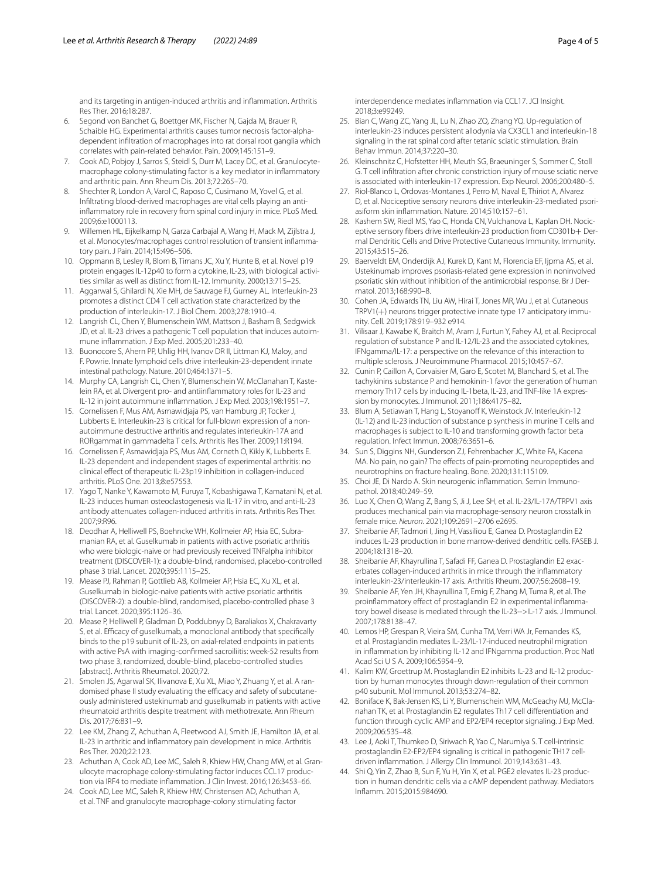and its targeting in antigen-induced arthritis and infammation. Arthritis Res Ther. 2016;18:287.

- <span id="page-3-0"></span>6. Segond von Banchet G, Boettger MK, Fischer N, Gajda M, Brauer R, Schaible HG. Experimental arthritis causes tumor necrosis factor-alphadependent infltration of macrophages into rat dorsal root ganglia which correlates with pain-related behavior. Pain. 2009;145:151–9.
- <span id="page-3-1"></span>7. Cook AD, Pobjoy J, Sarros S, Steidl S, Durr M, Lacey DC, et al. Granulocytemacrophage colony-stimulating factor is a key mediator in infammatory and arthritic pain. Ann Rheum Dis. 2013;72:265–70.
- <span id="page-3-2"></span>8. Shechter R, London A, Varol C, Raposo C, Cusimano M, Yovel G, et al. Infltrating blood-derived macrophages are vital cells playing an antiinfammatory role in recovery from spinal cord injury in mice. PLoS Med. 2009;6:e1000113.
- <span id="page-3-3"></span>9. Willemen HL, Eijkelkamp N, Garza Carbajal A, Wang H, Mack M, Zijlstra J, et al. Monocytes/macrophages control resolution of transient inflammatory pain. J Pain. 2014;15:496–506.
- <span id="page-3-4"></span>10. Oppmann B, Lesley R, Blom B, Timans JC, Xu Y, Hunte B, et al. Novel p19 protein engages IL-12p40 to form a cytokine, IL-23, with biological activities similar as well as distinct from IL-12. Immunity. 2000;13:715–25.
- <span id="page-3-5"></span>11. Aggarwal S, Ghilardi N, Xie MH, de Sauvage FJ, Gurney AL. Interleukin-23 promotes a distinct CD4 T cell activation state characterized by the production of interleukin-17. J Biol Chem. 2003;278:1910–4.
- <span id="page-3-6"></span>12. Langrish CL, Chen Y, Blumenschein WM, Mattson J, Basham B, Sedgwick JD, et al. IL-23 drives a pathogenic T cell population that induces autoimmune infammation. J Exp Med. 2005;201:233–40.
- <span id="page-3-7"></span>13. Buonocore S, Ahern PP, Uhlig HH, Ivanov DR II, Littman KJ, Maloy, and F. Powrie. Innate lymphoid cells drive interleukin-23-dependent innate intestinal pathology. Nature. 2010;464:1371–5.
- <span id="page-3-8"></span>14. Murphy CA, Langrish CL, Chen Y, Blumenschein W, McClanahan T, Kastelein RA, et al. Divergent pro- and antiinfammatory roles for IL-23 and IL-12 in joint autoimmune infammation. J Exp Med. 2003;198:1951–7.
- <span id="page-3-9"></span>15. Cornelissen F, Mus AM, Asmawidjaja PS, van Hamburg JP, Tocker J, Lubberts E. Interleukin-23 is critical for full-blown expression of a nonautoimmune destructive arthritis and regulates interleukin-17A and RORgammat in gammadelta T cells. Arthritis Res Ther. 2009;11:R194.
- <span id="page-3-10"></span>16. Cornelissen F, Asmawidjaja PS, Mus AM, Corneth O, Kikly K, Lubberts E. IL-23 dependent and independent stages of experimental arthritis: no clinical efect of therapeutic IL-23p19 inhibition in collagen-induced arthritis. PLoS One. 2013;8:e57553.
- <span id="page-3-11"></span>17. Yago T, Nanke Y, Kawamoto M, Furuya T, Kobashigawa T, Kamatani N, et al. IL-23 induces human osteoclastogenesis via IL-17 in vitro, and anti-IL-23 antibody attenuates collagen-induced arthritis in rats. Arthritis Res Ther. 2007;9:R96.
- <span id="page-3-12"></span>18. Deodhar A, Helliwell PS, Boehncke WH, Kollmeier AP, Hsia EC, Subramanian RA, et al. Guselkumab in patients with active psoriatic arthritis who were biologic-naive or had previously received TNFalpha inhibitor treatment (DISCOVER-1): a double-blind, randomised, placebo-controlled phase 3 trial. Lancet. 2020;395:1115–25.
- 19. Mease PJ, Rahman P, Gottlieb AB, Kollmeier AP, Hsia EC, Xu XL, et al. Guselkumab in biologic-naive patients with active psoriatic arthritis (DISCOVER-2): a double-blind, randomised, placebo-controlled phase 3 trial. Lancet. 2020;395:1126–36.
- <span id="page-3-13"></span>20. Mease P, Helliwell P, Gladman D, Poddubnyy D, Baraliakos X, Chakravarty S, et al. Efficacy of guselkumab, a monoclonal antibody that specifically binds to the p19 subunit of IL-23, on axial-related endpoints in patients with active PsA with imaging-confrmed sacroiliitis: week-52 results from two phase 3, randomized, double-blind, placebo-controlled studies [abstract]. Arthritis Rheumatol. 2020;72.
- <span id="page-3-14"></span>21. Smolen JS, Agarwal SK, Ilivanova E, Xu XL, Miao Y, Zhuang Y, et al. A randomised phase II study evaluating the efficacy and safety of subcutaneously administered ustekinumab and guselkumab in patients with active rheumatoid arthritis despite treatment with methotrexate. Ann Rheum Dis. 2017;76:831–9.
- <span id="page-3-15"></span>22. Lee KM, Zhang Z, Achuthan A, Fleetwood AJ, Smith JE, Hamilton JA, et al. IL-23 in arthritic and infammatory pain development in mice. Arthritis Res Ther. 2020;22:123.
- <span id="page-3-16"></span>23. Achuthan A, Cook AD, Lee MC, Saleh R, Khiew HW, Chang MW, et al. Granulocyte macrophage colony-stimulating factor induces CCL17 production via IRF4 to mediate infammation. J Clin Invest. 2016;126:3453–66.
- <span id="page-3-17"></span>24. Cook AD, Lee MC, Saleh R, Khiew HW, Christensen AD, Achuthan A, et al. TNF and granulocyte macrophage-colony stimulating factor

interdependence mediates infammation via CCL17. JCI Insight. 2018;3:e99249.

- <span id="page-3-18"></span>25. Bian C, Wang ZC, Yang JL, Lu N, Zhao ZQ, Zhang YQ. Up-regulation of interleukin-23 induces persistent allodynia via CX3CL1 and interleukin-18 signaling in the rat spinal cord after tetanic sciatic stimulation. Brain Behav Immun. 2014;37:220–30.
- <span id="page-3-19"></span>26. Kleinschnitz C, Hofstetter HH, Meuth SG, Braeuninger S, Sommer C, Stoll G. T cell infltration after chronic constriction injury of mouse sciatic nerve is associated with interleukin-17 expression. Exp Neurol. 2006;200:480–5.
- <span id="page-3-20"></span>27. Riol-Blanco L, Ordovas-Montanes J, Perro M, Naval E, Thiriot A, Alvarez D, et al. Nociceptive sensory neurons drive interleukin-23-mediated psoriasiform skin infammation. Nature. 2014;510:157–61.
- <span id="page-3-21"></span>28. Kashem SW, Riedl MS, Yao C, Honda CN, Vulchanova L, Kaplan DH. Nociceptive sensory fibers drive interleukin-23 production from CD301b+ Dermal Dendritic Cells and Drive Protective Cutaneous Immunity. Immunity. 2015;43:515–26.
- <span id="page-3-22"></span>29. Baerveldt EM, Onderdijk AJ, Kurek D, Kant M, Florencia EF, Ijpma AS, et al. Ustekinumab improves psoriasis-related gene expression in noninvolved psoriatic skin without inhibition of the antimicrobial response. Br J Dermatol. 2013;168:990–8.
- <span id="page-3-23"></span>30. Cohen JA, Edwards TN, Liu AW, Hirai T, Jones MR, Wu J, et al. Cutaneous TRPV1(+) neurons trigger protective innate type 17 anticipatory immunity. Cell. 2019;178:919–932 e914.
- <span id="page-3-24"></span>31. Vilisaar J, Kawabe K, Braitch M, Aram J, Furtun Y, Fahey AJ, et al. Reciprocal regulation of substance P and IL-12/IL-23 and the associated cytokines, IFNgamma/IL-17: a perspective on the relevance of this interaction to multiple sclerosis. J Neuroimmune Pharmacol. 2015;10:457–67.
- 32. Cunin P, Caillon A, Corvaisier M, Garo E, Scotet M, Blanchard S, et al. The tachykinins substance P and hemokinin-1 favor the generation of human memory Th17 cells by inducing IL-1beta, IL-23, and TNF-like 1A expression by monocytes. J Immunol. 2011;186:4175–82.
- <span id="page-3-25"></span>33. Blum A, Setiawan T, Hang L, Stoyanoff K, Weinstock JV. Interleukin-12 (IL-12) and IL-23 induction of substance p synthesis in murine T cells and macrophages is subject to IL-10 and transforming growth factor beta regulation. Infect Immun. 2008;76:3651–6.
- <span id="page-3-26"></span>34. Sun S, Diggins NH, Gunderson ZJ, Fehrenbacher JC, White FA, Kacena MA. No pain, no gain? The effects of pain-promoting neuropeptides and neurotrophins on fracture healing. Bone. 2020;131:115109.
- <span id="page-3-27"></span>35. Choi JE, Di Nardo A. Skin neurogenic inflammation. Semin Immunopathol. 2018;40:249–59.
- <span id="page-3-28"></span>36. Luo X, Chen O, Wang Z, Bang S, Ji J, Lee SH, et al. IL-23/IL-17A/TRPV1 axis produces mechanical pain via macrophage-sensory neuron crosstalk in female mice. *Neuron*. 2021;109:2691–2706 e2695.
- <span id="page-3-29"></span>37. Sheibanie AF, Tadmori I, Jing H, Vassiliou E, Ganea D. Prostaglandin E2 induces IL-23 production in bone marrow-derived dendritic cells. FASEB J. 2004;18:1318–20.
- 38. Sheibanie AF, Khayrullina T, Safadi FF, Ganea D. Prostaglandin E2 exacerbates collagen-induced arthritis in mice through the infammatory interleukin-23/interleukin-17 axis. Arthritis Rheum. 2007;56:2608–19.
- 39. Sheibanie AF, Yen JH, Khayrullina T, Emig F, Zhang M, Tuma R, et al. The proinflammatory effect of prostaglandin E2 in experimental inflammatory bowel disease is mediated through the IL-23-->IL-17 axis. J Immunol. 2007;178:8138–47.
- 40. Lemos HP, Grespan R, Vieira SM, Cunha TM, Verri WA Jr, Fernandes KS, et al. Prostaglandin mediates IL-23/IL-17-induced neutrophil migration in infammation by inhibiting IL-12 and IFNgamma production. Proc Natl Acad Sci U S A. 2009;106:5954–9.
- 41. Kalim KW, Groettrup M. Prostaglandin E2 inhibits IL-23 and IL-12 production by human monocytes through down-regulation of their common p40 subunit. Mol Immunol. 2013;53:274–82.
- 42. Boniface K, Bak-Jensen KS, Li Y, Blumenschein WM, McGeachy MJ, McClanahan TK, et al. Prostaglandin E2 regulates Th17 cell diferentiation and function through cyclic AMP and EP2/EP4 receptor signaling. J Exp Med. 2009;206:535–48.
- 43. Lee J, Aoki T, Thumkeo D, Siriwach R, Yao C, Narumiya S. T cell-intrinsic prostaglandin E2-EP2/EP4 signaling is critical in pathogenic TH17 celldriven infammation. J Allergy Clin Immunol. 2019;143:631–43.
- <span id="page-3-30"></span>44. Shi Q, Yin Z, Zhao B, Sun F, Yu H, Yin X, et al. PGE2 elevates IL-23 production in human dendritic cells via a cAMP dependent pathway. Mediators Infamm. 2015;2015:984690.